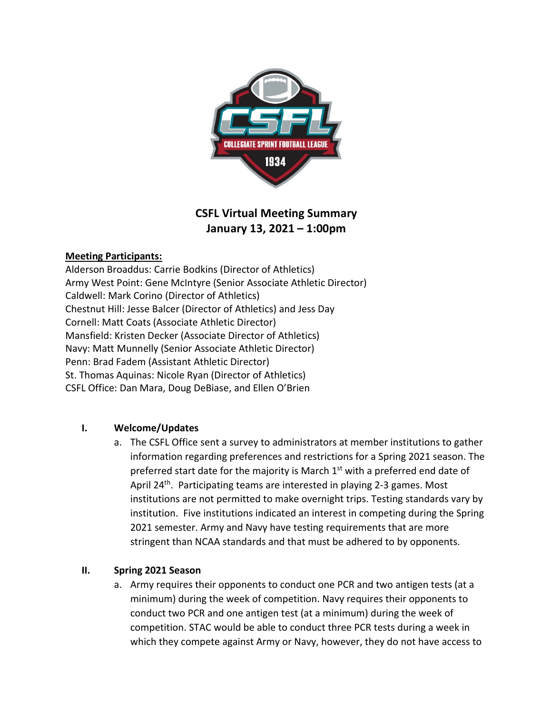

# **CSFL Virtual Meeting Summary January 13, 2021 – 1:00pm**

## **Meeting Participants:**

Alderson Broaddus: Carrie Bodkins (Director of Athletics) Army West Point: Gene McIntyre (Senior Associate Athletic Director) Caldwell: Mark Corino (Director of Athletics) Chestnut Hill: Jesse Balcer (Director of Athletics) and Jess Day Cornell: Matt Coats (Associate Athletic Director) Mansfield: Kristen Decker (Associate Director of Athletics) Navy: Matt Munnelly (Senior Associate Athletic Director) Penn: Brad Fadem (Assistant Athletic Director) St. Thomas Aquinas: Nicole Ryan (Director of Athletics) CSFL Office: Dan Mara, Doug DeBiase, and Ellen O'Brien

## **I. Welcome/Updates**

a. The CSFL Office sent a survey to administrators at member institutions to gather information regarding preferences and restrictions for a Spring 2021 season. The preferred start date for the majority is March  $1<sup>st</sup>$  with a preferred end date of April 24<sup>th</sup>. Participating teams are interested in playing 2-3 games. Most institutions are not permitted to make overnight trips. Testing standards vary by institution. Five institutions indicated an interest in competing during the Spring 2021 semester. Army and Navy have testing requirements that are more stringent than NCAA standards and that must be adhered to by opponents.

#### **II. Spring 2021 Season**

a. Army requires their opponents to conduct one PCR and two antigen tests (at a minimum) during the week of competition. Navy requires their opponents to conduct two PCR and one antigen test (at a minimum) during the week of competition. STAC would be able to conduct three PCR tests during a week in which they compete against Army or Navy, however, they do not have access to